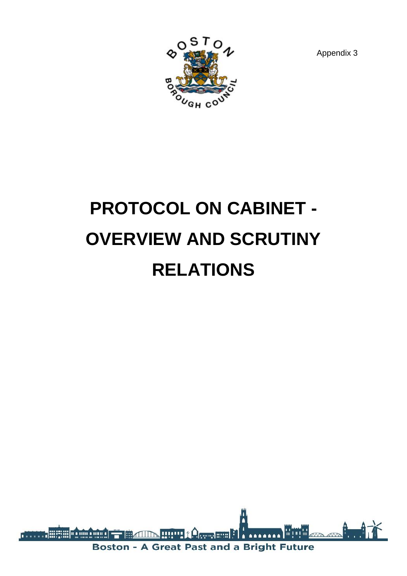

Appendix 3

# **PROTOCOL ON CABINET - OVERVIEW AND SCRUTINY RELATIONS**

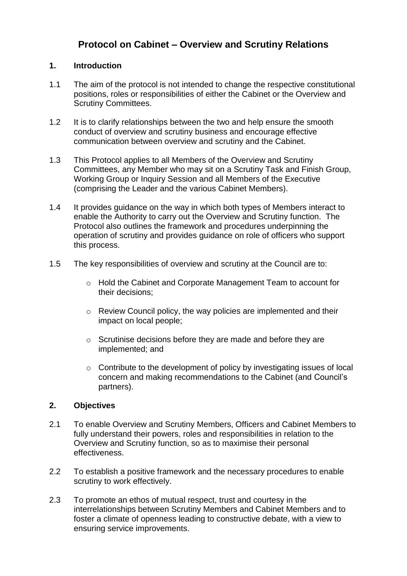# **Protocol on Cabinet – Overview and Scrutiny Relations**

# **1. Introduction**

- 1.1 The aim of the protocol is not intended to change the respective constitutional positions, roles or responsibilities of either the Cabinet or the Overview and Scrutiny Committees.
- 1.2 It is to clarify relationships between the two and help ensure the smooth conduct of overview and scrutiny business and encourage effective communication between overview and scrutiny and the Cabinet.
- 1.3 This Protocol applies to all Members of the Overview and Scrutiny Committees, any Member who may sit on a Scrutiny Task and Finish Group, Working Group or Inquiry Session and all Members of the Executive (comprising the Leader and the various Cabinet Members).
- 1.4 It provides guidance on the way in which both types of Members interact to enable the Authority to carry out the Overview and Scrutiny function. The Protocol also outlines the framework and procedures underpinning the operation of scrutiny and provides guidance on role of officers who support this process.
- 1.5 The key responsibilities of overview and scrutiny at the Council are to:
	- o Hold the Cabinet and Corporate Management Team to account for their decisions;
	- o Review Council policy, the way policies are implemented and their impact on local people;
	- o Scrutinise decisions before they are made and before they are implemented; and
	- o Contribute to the development of policy by investigating issues of local concern and making recommendations to the Cabinet (and Council's partners).

# **2. Objectives**

- 2.1 To enable Overview and Scrutiny Members, Officers and Cabinet Members to fully understand their powers, roles and responsibilities in relation to the Overview and Scrutiny function, so as to maximise their personal effectiveness.
- 2.2 To establish a positive framework and the necessary procedures to enable scrutiny to work effectively.
- 2.3 To promote an ethos of mutual respect, trust and courtesy in the interrelationships between Scrutiny Members and Cabinet Members and to foster a climate of openness leading to constructive debate, with a view to ensuring service improvements.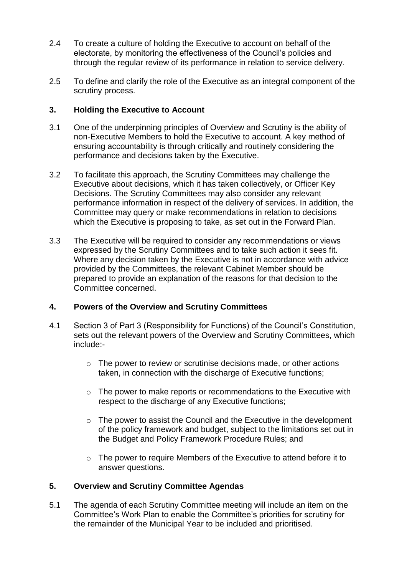- 2.4 To create a culture of holding the Executive to account on behalf of the electorate, by monitoring the effectiveness of the Council's policies and through the regular review of its performance in relation to service delivery.
- 2.5 To define and clarify the role of the Executive as an integral component of the scrutiny process.

# **3. Holding the Executive to Account**

- 3.1 One of the underpinning principles of Overview and Scrutiny is the ability of non-Executive Members to hold the Executive to account. A key method of ensuring accountability is through critically and routinely considering the performance and decisions taken by the Executive.
- 3.2 To facilitate this approach, the Scrutiny Committees may challenge the Executive about decisions, which it has taken collectively, or Officer Key Decisions. The Scrutiny Committees may also consider any relevant performance information in respect of the delivery of services. In addition, the Committee may query or make recommendations in relation to decisions which the Executive is proposing to take, as set out in the Forward Plan.
- 3.3 The Executive will be required to consider any recommendations or views expressed by the Scrutiny Committees and to take such action it sees fit. Where any decision taken by the Executive is not in accordance with advice provided by the Committees, the relevant Cabinet Member should be prepared to provide an explanation of the reasons for that decision to the Committee concerned.

#### **4. Powers of the Overview and Scrutiny Committees**

- 4.1 Section 3 of Part 3 (Responsibility for Functions) of the Council's Constitution, sets out the relevant powers of the Overview and Scrutiny Committees, which include:
	- o The power to review or scrutinise decisions made, or other actions taken, in connection with the discharge of Executive functions;
	- $\circ$  The power to make reports or recommendations to the Executive with respect to the discharge of any Executive functions;
	- o The power to assist the Council and the Executive in the development of the policy framework and budget, subject to the limitations set out in the Budget and Policy Framework Procedure Rules; and
	- o The power to require Members of the Executive to attend before it to answer questions.

# **5. Overview and Scrutiny Committee Agendas**

5.1 The agenda of each Scrutiny Committee meeting will include an item on the Committee's Work Plan to enable the Committee's priorities for scrutiny for the remainder of the Municipal Year to be included and prioritised.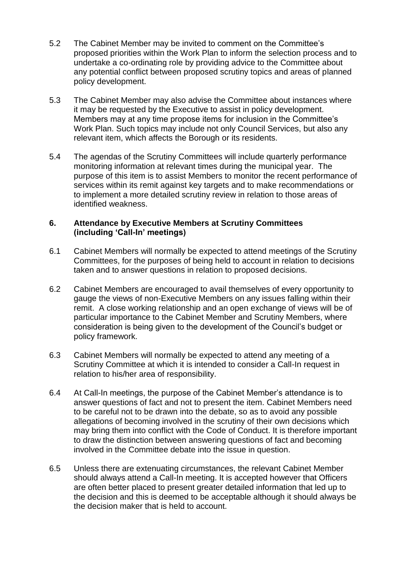- 5.2 The Cabinet Member may be invited to comment on the Committee's proposed priorities within the Work Plan to inform the selection process and to undertake a co-ordinating role by providing advice to the Committee about any potential conflict between proposed scrutiny topics and areas of planned policy development.
- 5.3 The Cabinet Member may also advise the Committee about instances where it may be requested by the Executive to assist in policy development. Members may at any time propose items for inclusion in the Committee's Work Plan. Such topics may include not only Council Services, but also any relevant item, which affects the Borough or its residents.
- 5.4 The agendas of the Scrutiny Committees will include quarterly performance monitoring information at relevant times during the municipal year. The purpose of this item is to assist Members to monitor the recent performance of services within its remit against key targets and to make recommendations or to implement a more detailed scrutiny review in relation to those areas of identified weakness.

# **6. Attendance by Executive Members at Scrutiny Committees (including 'Call-In' meetings)**

- 6.1 Cabinet Members will normally be expected to attend meetings of the Scrutiny Committees, for the purposes of being held to account in relation to decisions taken and to answer questions in relation to proposed decisions.
- 6.2 Cabinet Members are encouraged to avail themselves of every opportunity to gauge the views of non-Executive Members on any issues falling within their remit. A close working relationship and an open exchange of views will be of particular importance to the Cabinet Member and Scrutiny Members, where consideration is being given to the development of the Council's budget or policy framework.
- 6.3 Cabinet Members will normally be expected to attend any meeting of a Scrutiny Committee at which it is intended to consider a Call-In request in relation to his/her area of responsibility.
- 6.4 At Call-In meetings, the purpose of the Cabinet Member's attendance is to answer questions of fact and not to present the item. Cabinet Members need to be careful not to be drawn into the debate, so as to avoid any possible allegations of becoming involved in the scrutiny of their own decisions which may bring them into conflict with the Code of Conduct. It is therefore important to draw the distinction between answering questions of fact and becoming involved in the Committee debate into the issue in question.
- 6.5 Unless there are extenuating circumstances, the relevant Cabinet Member should always attend a Call-In meeting. It is accepted however that Officers are often better placed to present greater detailed information that led up to the decision and this is deemed to be acceptable although it should always be the decision maker that is held to account.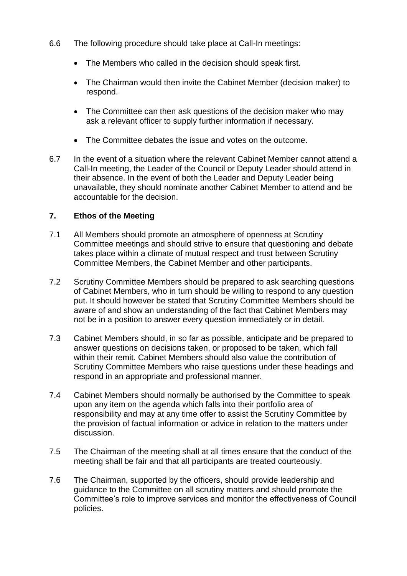- 6.6 The following procedure should take place at Call-In meetings:
	- The Members who called in the decision should speak first.
	- The Chairman would then invite the Cabinet Member (decision maker) to respond.
	- The Committee can then ask questions of the decision maker who may ask a relevant officer to supply further information if necessary.
	- The Committee debates the issue and votes on the outcome.
- 6.7 In the event of a situation where the relevant Cabinet Member cannot attend a Call-In meeting, the Leader of the Council or Deputy Leader should attend in their absence. In the event of both the Leader and Deputy Leader being unavailable, they should nominate another Cabinet Member to attend and be accountable for the decision.

# **7. Ethos of the Meeting**

- 7.1 All Members should promote an atmosphere of openness at Scrutiny Committee meetings and should strive to ensure that questioning and debate takes place within a climate of mutual respect and trust between Scrutiny Committee Members, the Cabinet Member and other participants.
- 7.2 Scrutiny Committee Members should be prepared to ask searching questions of Cabinet Members, who in turn should be willing to respond to any question put. It should however be stated that Scrutiny Committee Members should be aware of and show an understanding of the fact that Cabinet Members may not be in a position to answer every question immediately or in detail.
- 7.3 Cabinet Members should, in so far as possible, anticipate and be prepared to answer questions on decisions taken, or proposed to be taken, which fall within their remit. Cabinet Members should also value the contribution of Scrutiny Committee Members who raise questions under these headings and respond in an appropriate and professional manner.
- 7.4 Cabinet Members should normally be authorised by the Committee to speak upon any item on the agenda which falls into their portfolio area of responsibility and may at any time offer to assist the Scrutiny Committee by the provision of factual information or advice in relation to the matters under discussion.
- 7.5 The Chairman of the meeting shall at all times ensure that the conduct of the meeting shall be fair and that all participants are treated courteously.
- 7.6 The Chairman, supported by the officers, should provide leadership and guidance to the Committee on all scrutiny matters and should promote the Committee's role to improve services and monitor the effectiveness of Council policies.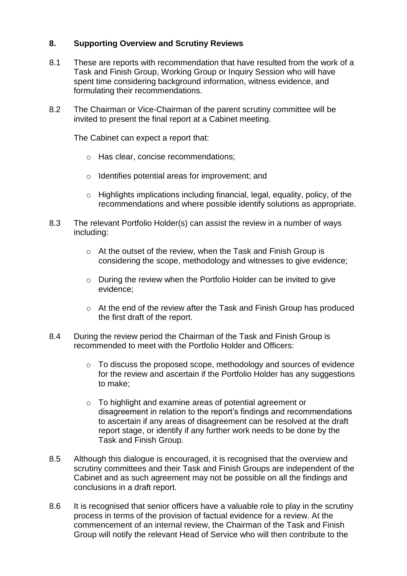# **8. Supporting Overview and Scrutiny Reviews**

- 8.1 These are reports with recommendation that have resulted from the work of a Task and Finish Group, Working Group or Inquiry Session who will have spent time considering background information, witness evidence, and formulating their recommendations.
- 8.2 The Chairman or Vice-Chairman of the parent scrutiny committee will be invited to present the final report at a Cabinet meeting.

The Cabinet can expect a report that:

- o Has clear, concise recommendations;
- o Identifies potential areas for improvement; and
- o Highlights implications including financial, legal, equality, policy, of the recommendations and where possible identify solutions as appropriate.
- 8.3 The relevant Portfolio Holder(s) can assist the review in a number of ways including:
	- o At the outset of the review, when the Task and Finish Group is considering the scope, methodology and witnesses to give evidence;
	- o During the review when the Portfolio Holder can be invited to give evidence;
	- o At the end of the review after the Task and Finish Group has produced the first draft of the report.
- 8.4 During the review period the Chairman of the Task and Finish Group is recommended to meet with the Portfolio Holder and Officers:
	- o To discuss the proposed scope, methodology and sources of evidence for the review and ascertain if the Portfolio Holder has any suggestions to make;
	- o To highlight and examine areas of potential agreement or disagreement in relation to the report's findings and recommendations to ascertain if any areas of disagreement can be resolved at the draft report stage, or identify if any further work needs to be done by the Task and Finish Group.
- 8.5 Although this dialogue is encouraged, it is recognised that the overview and scrutiny committees and their Task and Finish Groups are independent of the Cabinet and as such agreement may not be possible on all the findings and conclusions in a draft report.
- 8.6 It is recognised that senior officers have a valuable role to play in the scrutiny process in terms of the provision of factual evidence for a review. At the commencement of an internal review, the Chairman of the Task and Finish Group will notify the relevant Head of Service who will then contribute to the